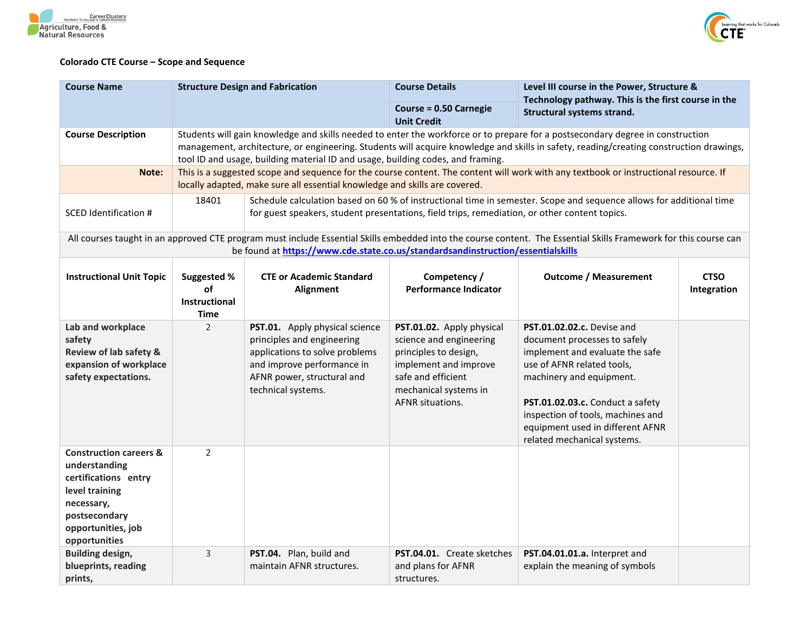



## **Colorado CTE Course – Scope and Sequence**

| <b>Course Name</b>                                                                                                                                                                                                                                  |                                                                                                                                                                                                                                                                                                                                                              | <b>Structure Design and Fabrication</b>                                                                                                                                                                              | <b>Course Details</b>                                                                                                                                                            | Level III course in the Power, Structure &                                                                                                                                                                                                                                                                 |                            |  |
|-----------------------------------------------------------------------------------------------------------------------------------------------------------------------------------------------------------------------------------------------------|--------------------------------------------------------------------------------------------------------------------------------------------------------------------------------------------------------------------------------------------------------------------------------------------------------------------------------------------------------------|----------------------------------------------------------------------------------------------------------------------------------------------------------------------------------------------------------------------|----------------------------------------------------------------------------------------------------------------------------------------------------------------------------------|------------------------------------------------------------------------------------------------------------------------------------------------------------------------------------------------------------------------------------------------------------------------------------------------------------|----------------------------|--|
|                                                                                                                                                                                                                                                     |                                                                                                                                                                                                                                                                                                                                                              |                                                                                                                                                                                                                      | Course = 0.50 Carnegie<br><b>Unit Credit</b>                                                                                                                                     | Technology pathway. This is the first course in the<br>Structural systems strand.                                                                                                                                                                                                                          |                            |  |
| <b>Course Description</b>                                                                                                                                                                                                                           | Students will gain knowledge and skills needed to enter the workforce or to prepare for a postsecondary degree in construction<br>management, architecture, or engineering. Students will acquire knowledge and skills in safety, reading/creating construction drawings,<br>tool ID and usage, building material ID and usage, building codes, and framing. |                                                                                                                                                                                                                      |                                                                                                                                                                                  |                                                                                                                                                                                                                                                                                                            |                            |  |
| Note:                                                                                                                                                                                                                                               | This is a suggested scope and sequence for the course content. The content will work with any textbook or instructional resource. If<br>locally adapted, make sure all essential knowledge and skills are covered.                                                                                                                                           |                                                                                                                                                                                                                      |                                                                                                                                                                                  |                                                                                                                                                                                                                                                                                                            |                            |  |
| SCED Identification #                                                                                                                                                                                                                               | 18401                                                                                                                                                                                                                                                                                                                                                        | Schedule calculation based on 60 % of instructional time in semester. Scope and sequence allows for additional time<br>for guest speakers, student presentations, field trips, remediation, or other content topics. |                                                                                                                                                                                  |                                                                                                                                                                                                                                                                                                            |                            |  |
| All courses taught in an approved CTE program must include Essential Skills embedded into the course content. The Essential Skills Framework for this course can<br>be found at https://www.cde.state.co.us/standardsandinstruction/essentialskills |                                                                                                                                                                                                                                                                                                                                                              |                                                                                                                                                                                                                      |                                                                                                                                                                                  |                                                                                                                                                                                                                                                                                                            |                            |  |
| <b>Instructional Unit Topic</b>                                                                                                                                                                                                                     | Suggested %<br>оf<br><b>Instructional</b><br>Time                                                                                                                                                                                                                                                                                                            | <b>CTE or Academic Standard</b><br>Alignment                                                                                                                                                                         | Competency /<br><b>Performance Indicator</b>                                                                                                                                     | <b>Outcome / Measurement</b>                                                                                                                                                                                                                                                                               | <b>CTSO</b><br>Integration |  |
| Lab and workplace<br>safety<br>Review of lab safety &<br>expansion of workplace<br>safety expectations.                                                                                                                                             | $\overline{2}$                                                                                                                                                                                                                                                                                                                                               | PST.01. Apply physical science<br>principles and engineering<br>applications to solve problems<br>and improve performance in<br>AFNR power, structural and<br>technical systems.                                     | PST.01.02. Apply physical<br>science and engineering<br>principles to design,<br>implement and improve<br>safe and efficient<br>mechanical systems in<br><b>AFNR situations.</b> | <b>PST.01.02.02.c.</b> Devise and<br>document processes to safely<br>implement and evaluate the safe<br>use of AFNR related tools,<br>machinery and equipment.<br>PST.01.02.03.c. Conduct a safety<br>inspection of tools, machines and<br>equipment used in different AFNR<br>related mechanical systems. |                            |  |
| <b>Construction careers &amp;</b><br>understanding<br>certifications entry<br>level training<br>necessary,<br>postsecondary<br>opportunities, job<br>opportunities                                                                                  | $\overline{2}$                                                                                                                                                                                                                                                                                                                                               |                                                                                                                                                                                                                      |                                                                                                                                                                                  |                                                                                                                                                                                                                                                                                                            |                            |  |
| <b>Building design,</b><br>blueprints, reading<br>prints,                                                                                                                                                                                           | 3                                                                                                                                                                                                                                                                                                                                                            | PST.04. Plan, build and<br>maintain AFNR structures.                                                                                                                                                                 | PST.04.01. Create sketches<br>and plans for AFNR<br>structures.                                                                                                                  | PST.04.01.01.a. Interpret and<br>explain the meaning of symbols                                                                                                                                                                                                                                            |                            |  |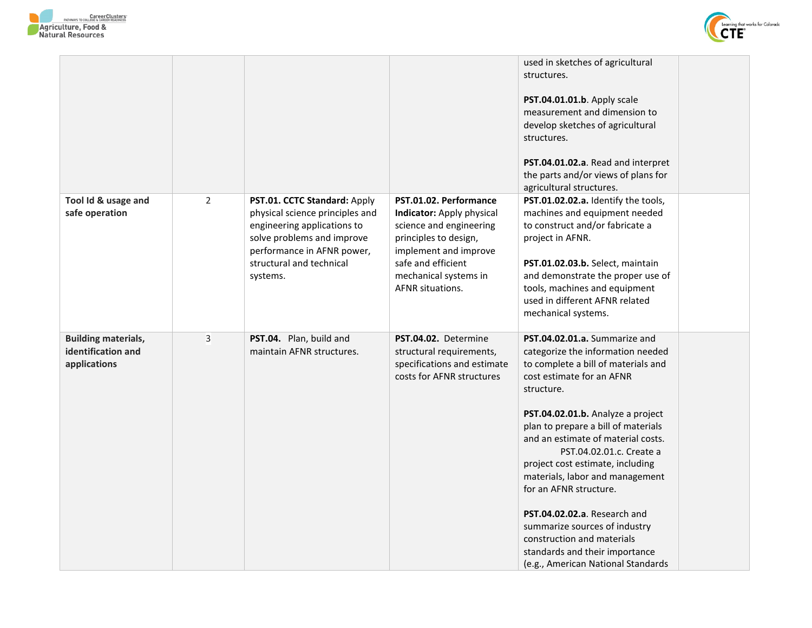



|                                                                  |                |                                                                                                                                                                                                    |                                                                                                                                                                                                            | used in sketches of agricultural<br>structures.<br>PST.04.01.01.b. Apply scale<br>measurement and dimension to<br>develop sketches of agricultural<br>structures.<br>PST.04.01.02.a. Read and interpret<br>the parts and/or views of plans for<br>agricultural structures.                                                                                                                                                                                                                                                                                                 |  |
|------------------------------------------------------------------|----------------|----------------------------------------------------------------------------------------------------------------------------------------------------------------------------------------------------|------------------------------------------------------------------------------------------------------------------------------------------------------------------------------------------------------------|----------------------------------------------------------------------------------------------------------------------------------------------------------------------------------------------------------------------------------------------------------------------------------------------------------------------------------------------------------------------------------------------------------------------------------------------------------------------------------------------------------------------------------------------------------------------------|--|
| Tool Id & usage and<br>safe operation                            | $\overline{2}$ | PST.01. CCTC Standard: Apply<br>physical science principles and<br>engineering applications to<br>solve problems and improve<br>performance in AFNR power,<br>structural and technical<br>systems. | PST.01.02. Performance<br>Indicator: Apply physical<br>science and engineering<br>principles to design,<br>implement and improve<br>safe and efficient<br>mechanical systems in<br><b>AFNR</b> situations. | PST.01.02.02.a. Identify the tools,<br>machines and equipment needed<br>to construct and/or fabricate a<br>project in AFNR.<br>PST.01.02.03.b. Select, maintain<br>and demonstrate the proper use of<br>tools, machines and equipment<br>used in different AFNR related<br>mechanical systems.                                                                                                                                                                                                                                                                             |  |
| <b>Building materials,</b><br>identification and<br>applications | 3              | PST.04. Plan, build and<br>maintain AFNR structures.                                                                                                                                               | PST.04.02. Determine<br>structural requirements,<br>specifications and estimate<br>costs for AFNR structures                                                                                               | PST.04.02.01.a. Summarize and<br>categorize the information needed<br>to complete a bill of materials and<br>cost estimate for an AFNR<br>structure.<br>PST.04.02.01.b. Analyze a project<br>plan to prepare a bill of materials<br>and an estimate of material costs.<br>PST.04.02.01.c. Create a<br>project cost estimate, including<br>materials, labor and management<br>for an AFNR structure.<br>PST.04.02.02.a. Research and<br>summarize sources of industry<br>construction and materials<br>standards and their importance<br>(e.g., American National Standards |  |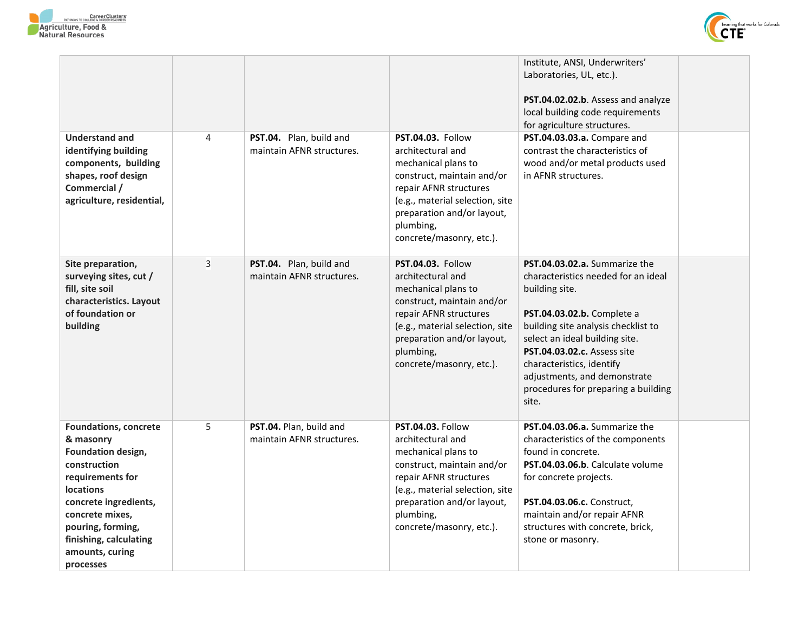



|                                                                                                                                                                                                                                                    |   |                                                      |                                                                                                                                                                                                                                        | Institute, ANSI, Underwriters'<br>Laboratories, UL, etc.).<br>PST.04.02.02.b. Assess and analyze<br>local building code requirements<br>for agriculture structures.                                                                                                                                                                       |  |
|----------------------------------------------------------------------------------------------------------------------------------------------------------------------------------------------------------------------------------------------------|---|------------------------------------------------------|----------------------------------------------------------------------------------------------------------------------------------------------------------------------------------------------------------------------------------------|-------------------------------------------------------------------------------------------------------------------------------------------------------------------------------------------------------------------------------------------------------------------------------------------------------------------------------------------|--|
| <b>Understand and</b><br>identifying building<br>components, building<br>shapes, roof design<br>Commercial /<br>agriculture, residential,                                                                                                          | 4 | PST.04. Plan, build and<br>maintain AFNR structures. | <b>PST.04.03. Follow</b><br>architectural and<br>mechanical plans to<br>construct, maintain and/or<br>repair AFNR structures<br>(e.g., material selection, site<br>preparation and/or layout,<br>plumbing,<br>concrete/masonry, etc.). | PST.04.03.03.a. Compare and<br>contrast the characteristics of<br>wood and/or metal products used<br>in AFNR structures.                                                                                                                                                                                                                  |  |
| Site preparation,<br>surveying sites, cut /<br>fill, site soil<br>characteristics. Layout<br>of foundation or<br>building                                                                                                                          | 3 | PST.04. Plan, build and<br>maintain AFNR structures. | <b>PST.04.03. Follow</b><br>architectural and<br>mechanical plans to<br>construct, maintain and/or<br>repair AFNR structures<br>(e.g., material selection, site<br>preparation and/or layout,<br>plumbing,<br>concrete/masonry, etc.). | PST.04.03.02.a. Summarize the<br>characteristics needed for an ideal<br>building site.<br>PST.04.03.02.b. Complete a<br>building site analysis checklist to<br>select an ideal building site.<br>PST.04.03.02.c. Assess site<br>characteristics, identify<br>adjustments, and demonstrate<br>procedures for preparing a building<br>site. |  |
| <b>Foundations, concrete</b><br>& masonry<br>Foundation design,<br>construction<br>requirements for<br><b>locations</b><br>concrete ingredients,<br>concrete mixes,<br>pouring, forming,<br>finishing, calculating<br>amounts, curing<br>processes | 5 | PST.04. Plan, build and<br>maintain AFNR structures. | <b>PST.04.03. Follow</b><br>architectural and<br>mechanical plans to<br>construct, maintain and/or<br>repair AFNR structures<br>(e.g., material selection, site<br>preparation and/or layout,<br>plumbing,<br>concrete/masonry, etc.). | PST.04.03.06.a. Summarize the<br>characteristics of the components<br>found in concrete.<br>PST.04.03.06.b. Calculate volume<br>for concrete projects.<br>PST.04.03.06.c. Construct,<br>maintain and/or repair AFNR<br>structures with concrete, brick,<br>stone or masonry.                                                              |  |